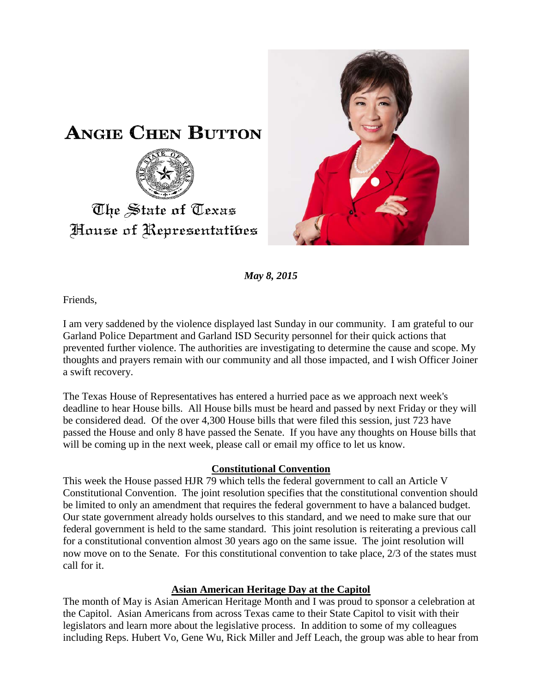



*May 8, 2015*

Friends,

I am very saddened by the violence displayed last Sunday in our community. I am grateful to our Garland Police Department and Garland ISD Security personnel for their quick actions that prevented further violence. The authorities are investigating to determine the cause and scope. My thoughts and prayers remain with our community and all those impacted, and I wish Officer Joiner a swift recovery.

The Texas House of Representatives has entered a hurried pace as we approach next week's deadline to hear House bills. All House bills must be heard and passed by next Friday or they will be considered dead. Of the over 4,300 House bills that were filed this session, just 723 have passed the House and only 8 have passed the Senate. If you have any thoughts on House bills that will be coming up in the next week, please call or email my office to let us know.

## **Constitutional Convention**

This week the House passed HJR 79 which tells the federal government to call an Article V Constitutional Convention. The joint resolution specifies that the constitutional convention should be limited to only an amendment that requires the federal government to have a balanced budget. Our state government already holds ourselves to this standard, and we need to make sure that our federal government is held to the same standard. This joint resolution is reiterating a previous call for a constitutional convention almost 30 years ago on the same issue. The joint resolution will now move on to the Senate. For this constitutional convention to take place, 2/3 of the states must call for it.

## **Asian American Heritage Day at the Capitol**

The month of May is Asian American Heritage Month and I was proud to sponsor a celebration at the Capitol. Asian Americans from across Texas came to their State Capitol to visit with their legislators and learn more about the legislative process. In addition to some of my colleagues including Reps. Hubert Vo, Gene Wu, Rick Miller and Jeff Leach, the group was able to hear from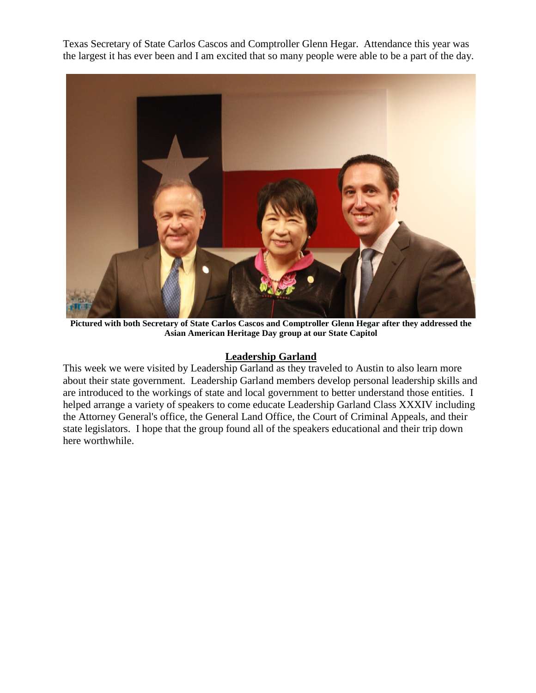Texas Secretary of State Carlos Cascos and Comptroller Glenn Hegar. Attendance this year was the largest it has ever been and I am excited that so many people were able to be a part of the day.



**Pictured with both Secretary of State Carlos Cascos and Comptroller Glenn Hegar after they addressed the Asian American Heritage Day group at our State Capitol** 

## **Leadership Garland**

This week we were visited by Leadership Garland as they traveled to Austin to also learn more about their state government. Leadership Garland members develop personal leadership skills and are introduced to the workings of state and local government to better understand those entities. I helped arrange a variety of speakers to come educate Leadership Garland Class XXXIV including the Attorney General's office, the General Land Office, the Court of Criminal Appeals, and their state legislators. I hope that the group found all of the speakers educational and their trip down here worthwhile.